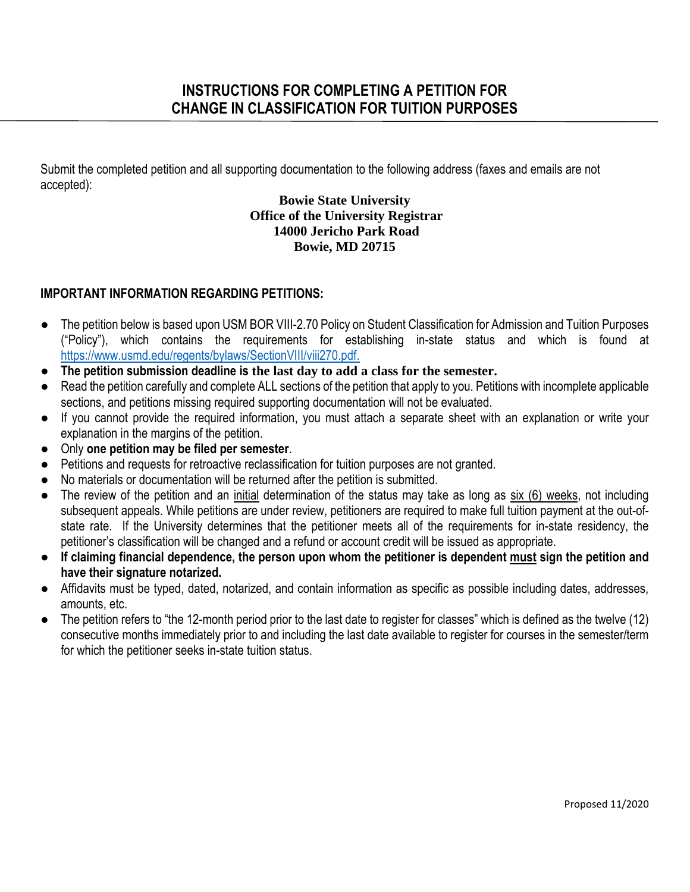Submit the completed petition and all supporting documentation to the following address (faxes and emails are not accepted):

# **Bowie State University Office of the University Registrar 14000 Jericho Park Road Bowie, MD 20715**

# **IMPORTANT INFORMATION REGARDING PETITIONS:**

- The petition below is based upon USM BOR VIII-2.70 Policy on Student Classification for Admission and Tuition Purposes ("Policy"), which contains the requirements for establishing in-state status and which is found at [https://www.usmd.edu/regents/bylaws/SectionVIII/viii270.pdf.](https://www.usmd.edu/regents/bylaws/SectionVIII/viii270.pdf)
- **The petition submission deadline is the last day to add a class for the semester.**
- Read the petition carefully and complete ALL sections of the petition that apply to you. Petitions with incomplete applicable sections, and petitions missing required supporting documentation will not be evaluated.
- If you cannot provide the required information, you must attach a separate sheet with an explanation or write your explanation in the margins of the petition.
- Only **one petition may be filed per semester**.
- Petitions and requests for retroactive reclassification for tuition purposes are not granted.
- No materials or documentation will be returned after the petition is submitted.
- The review of the petition and an initial determination of the status may take as long as six (6) weeks, not including subsequent appeals. While petitions are under review, petitioners are required to make full tuition payment at the out-ofstate rate. If the University determines that the petitioner meets all of the requirements for in-state residency, the petitioner's classification will be changed and a refund or account credit will be issued as appropriate.
- **If claiming financial dependence, the person upon whom the petitioner is dependent must sign the petition and have their signature notarized.**
- Affidavits must be typed, dated, notarized, and contain information as specific as possible including dates, addresses, amounts, etc.
- The petition refers to "the 12-month period prior to the last date to register for classes" which is defined as the twelve (12) consecutive months immediately prior to and including the last date available to register for courses in the semester/term for which the petitioner seeks in-state tuition status.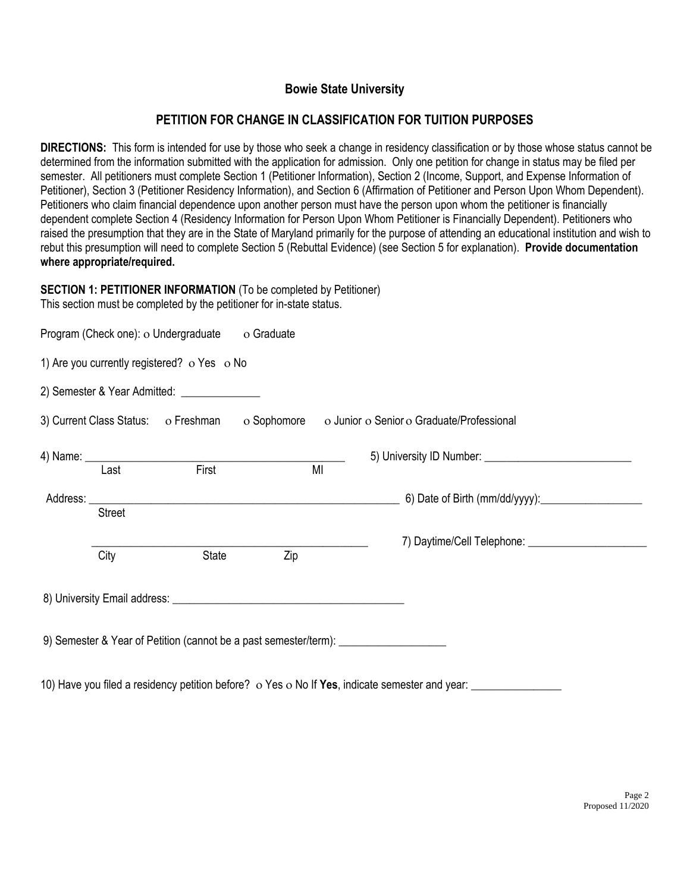# **Bowie State University**

# **PETITION FOR CHANGE IN CLASSIFICATION FOR TUITION PURPOSES**

**DIRECTIONS:** This form is intended for use by those who seek a change in residency classification or by those whose status cannot be determined from the information submitted with the application for admission. Only one petition for change in status may be filed per semester. All petitioners must complete Section 1 (Petitioner Information), Section 2 (Income, Support, and Expense Information of Petitioner), Section 3 (Petitioner Residency Information), and Section 6 (Affirmation of Petitioner and Person Upon Whom Dependent). Petitioners who claim financial dependence upon another person must have the person upon whom the petitioner is financially dependent complete Section 4 (Residency Information for Person Upon Whom Petitioner is Financially Dependent). Petitioners who raised the presumption that they are in the State of Maryland primarily for the purpose of attending an educational institution and wish to rebut this presumption will need to complete Section 5 (Rebuttal Evidence) (see Section 5 for explanation). **Provide documentation where appropriate/required.** 

# **SECTION 1: PETITIONER INFORMATION** (To be completed by Petitioner)

|               | Program (Check one): o Undergraduate                    | o Graduate |    |                                                                                           |
|---------------|---------------------------------------------------------|------------|----|-------------------------------------------------------------------------------------------|
|               | 1) Are you currently registered? $\circ$ Yes $\circ$ No |            |    |                                                                                           |
|               | 2) Semester & Year Admitted: ________________           |            |    |                                                                                           |
|               |                                                         |            |    | 3) Current Class Status: o Freshman o Sophomore o Junior o Senior o Graduate/Professional |
|               |                                                         |            |    |                                                                                           |
| Last          | First                                                   |            | MI |                                                                                           |
|               |                                                         |            |    |                                                                                           |
| <b>Street</b> |                                                         |            |    |                                                                                           |
|               |                                                         |            |    |                                                                                           |
| City          | State                                                   | Zip        |    |                                                                                           |
|               |                                                         |            |    |                                                                                           |
|               |                                                         |            |    | 9) Semester & Year of Petition (cannot be a past semester/term): _______________          |

10) Have you filed a residency petition before?  $\circ$  Yes  $\circ$  No If Yes, indicate semester and year: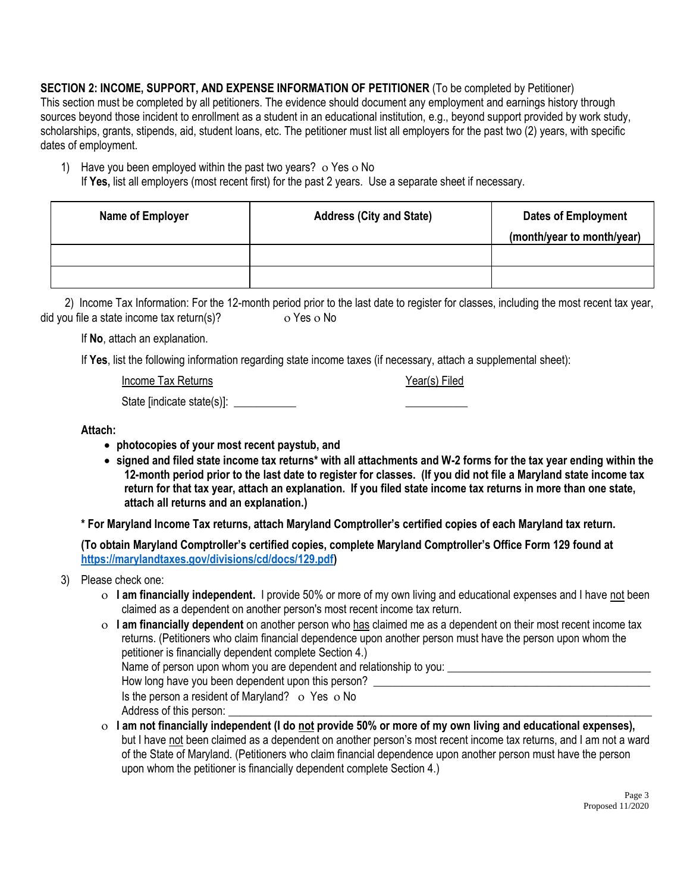**SECTION 2: INCOME, SUPPORT, AND EXPENSE INFORMATION OF PETITIONER** (To be completed by Petitioner) This section must be completed by all petitioners. The evidence should document any employment and earnings history through sources beyond those incident to enrollment as a student in an educational institution, e.g., beyond support provided by work study, scholarships, grants, stipends, aid, student loans, etc. The petitioner must list all employers for the past two (2) years, with specific dates of employment.

- 1) Have you been employed within the past two years?  $\sigma$  Yes  $\sigma$  No
	- If **Yes,** list all employers (most recent first) for the past 2 years. Use a separate sheet if necessary.

| Name of Employer | <b>Address (City and State)</b> | <b>Dates of Employment</b> |
|------------------|---------------------------------|----------------------------|
|                  |                                 | (month/year to month/year) |
|                  |                                 |                            |
|                  |                                 |                            |

2) Income Tax Information: For the 12-month period prior to the last date to register for classes, including the most recent tax year, did you file a state income tax return(s)?  $\overline{\phantom{a}}$  o Yes o No

If **No**, attach an explanation.

If **Yes**, list the following information regarding state income taxes (if necessary, attach a supplemental sheet):

Income Tax Returns The Contract of the Contract of Team Year(s) Filed

State [indicate state(s)]: \_\_\_\_\_\_\_\_\_\_\_\_\_\_

**Attach:**

- **photocopies of your most recent paystub, and**
- **signed and filed state income tax returns\* with all attachments and W-2 forms for the tax year ending within the 12-month period prior to the last date to register for classes. (If you did not file a Maryland state income tax return for that tax year, attach an explanation. If you filed state income tax returns in more than one state, attach all returns and an explanation.)**

**\* For Maryland Income Tax returns, attach Maryland Comptroller's certified copies of each Maryland tax return.** 

**(To obtain Maryland Comptroller's certified copies, complete Maryland Comptroller's Office Form 129 found at [https://marylandtaxes.gov/divisions/cd/docs/129.pdf\)](https://marylandtaxes.gov/divisions/cd/docs/129.pdf)**

- 3) Please check one:
	- **I am financially independent.** I provide 50% or more of my own living and educational expenses and I have not been claimed as a dependent on another person's most recent income tax return.
	- **I am financially dependent** on another person who has claimed me as a dependent on their most recent income tax returns. (Petitioners who claim financial dependence upon another person must have the person upon whom the petitioner is financially dependent complete Section 4.) Name of person upon whom you are dependent and relationship to you: \_\_\_\_\_\_\_\_\_\_\_\_ How long have you been dependent upon this person? Is the person a resident of Maryland?  $\circ$  Yes  $\circ$  No Address of this person:
	- **I am not financially independent (I do not provide 50% or more of my own living and educational expenses),**  but I have not been claimed as a dependent on another person's most recent income tax returns, and I am not a ward of the State of Maryland. (Petitioners who claim financial dependence upon another person must have the person upon whom the petitioner is financially dependent complete Section 4.)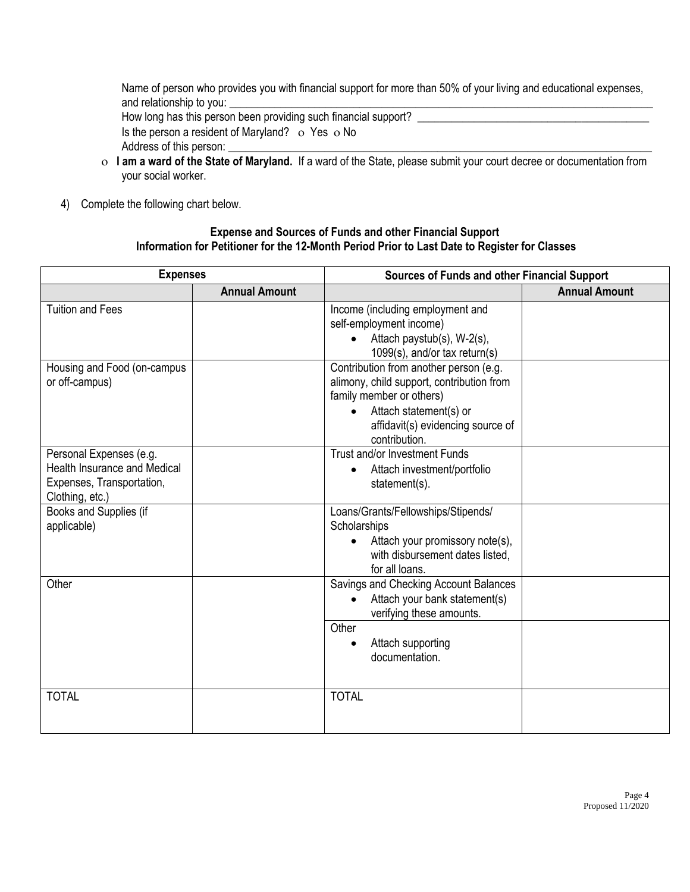Name of person who provides you with financial support for more than 50% of your living and educational expenses, and relationship to you:

How long has this person been providing such financial support? Is the person a resident of Maryland?  $\circ$  Yes  $\circ$  No Address of this person: \_

- **I am a ward of the State of Maryland.** If a ward of the State, please submit your court decree or documentation from your social worker.
- 4) Complete the following chart below.

#### **Expense and Sources of Funds and other Financial Support Information for Petitioner for the 12-Month Period Prior to Last Date to Register for Classes**

| <b>Expenses</b>                                                                                                |                      | Sources of Funds and other Financial Support                                                                                                                                                                 |                      |
|----------------------------------------------------------------------------------------------------------------|----------------------|--------------------------------------------------------------------------------------------------------------------------------------------------------------------------------------------------------------|----------------------|
|                                                                                                                | <b>Annual Amount</b> |                                                                                                                                                                                                              | <b>Annual Amount</b> |
| <b>Tuition and Fees</b>                                                                                        |                      | Income (including employment and<br>self-employment income)<br>$\bullet$ Attach paystub(s), W-2(s),<br>1099(s), and/or tax return(s)                                                                         |                      |
| Housing and Food (on-campus<br>or off-campus)                                                                  |                      | Contribution from another person (e.g.<br>alimony, child support, contribution from<br>family member or others)<br>Attach statement(s) or<br>$\bullet$<br>affidavit(s) evidencing source of<br>contribution. |                      |
| Personal Expenses (e.g.<br><b>Health Insurance and Medical</b><br>Expenses, Transportation,<br>Clothing, etc.) |                      | Trust and/or Investment Funds<br>Attach investment/portfolio<br>$\bullet$<br>statement(s).                                                                                                                   |                      |
| Books and Supplies (if<br>applicable)                                                                          |                      | Loans/Grants/Fellowships/Stipends/<br>Scholarships<br>Attach your promissory note(s),<br>with disbursement dates listed,<br>for all loans.                                                                   |                      |
| Other                                                                                                          |                      | Savings and Checking Account Balances<br>Attach your bank statement(s)<br>$\bullet$<br>verifying these amounts.                                                                                              |                      |
|                                                                                                                |                      | Other<br>Attach supporting<br>$\bullet$<br>documentation.                                                                                                                                                    |                      |
| <b>TOTAL</b>                                                                                                   |                      | <b>TOTAL</b>                                                                                                                                                                                                 |                      |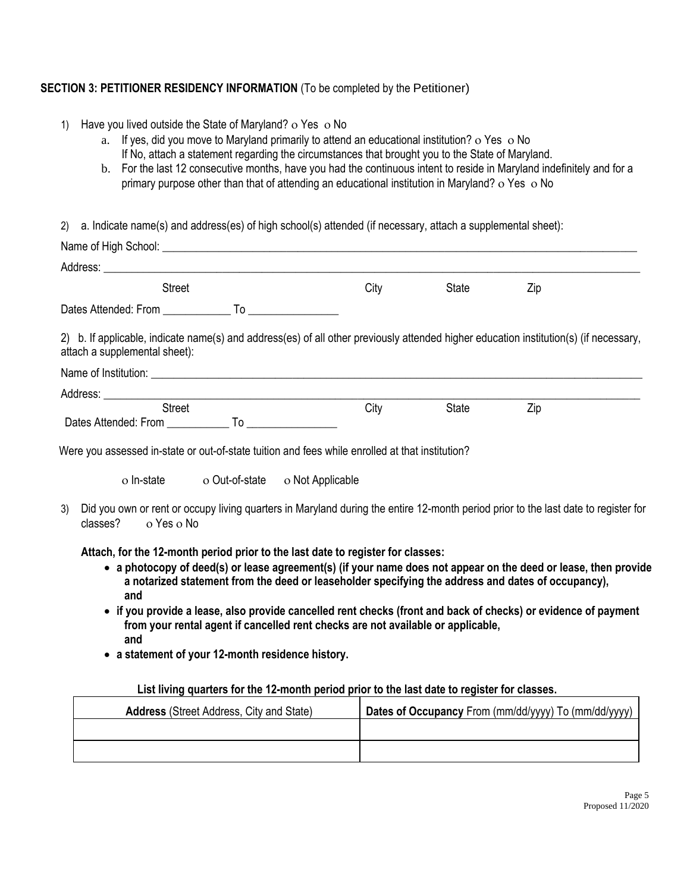## **SECTION 3: PETITIONER RESIDENCY INFORMATION** (To be completed by the Petitioner)

- 1) Have you lived outside the State of Maryland? o Yes o No
	- a. If yes, did you move to Maryland primarily to attend an educational institution? Yes No If No, attach a statement regarding the circumstances that brought you to the State of Maryland.
	- b. For the last 12 consecutive months, have you had the continuous intent to reside in Maryland indefinitely and for a primary purpose other than that of attending an educational institution in Maryland? o Yes o No

2) a. Indicate name(s) and address(es) of high school(s) attended (if necessary, attach a supplemental sheet):

| <b>Street</b>                                                                                                                                                          | City | State | Zip                                                                                                                                |
|------------------------------------------------------------------------------------------------------------------------------------------------------------------------|------|-------|------------------------------------------------------------------------------------------------------------------------------------|
|                                                                                                                                                                        |      |       |                                                                                                                                    |
| 2) b. If applicable, indicate name(s) and address(es) of all other previously attended higher education institution(s) (if necessary,<br>attach a supplemental sheet): |      |       |                                                                                                                                    |
|                                                                                                                                                                        |      |       |                                                                                                                                    |
|                                                                                                                                                                        |      |       |                                                                                                                                    |
| <b>Street</b>                                                                                                                                                          | City | State | Zip                                                                                                                                |
|                                                                                                                                                                        |      |       |                                                                                                                                    |
| Were you assessed in-state or out-of-state tuition and fees while enrolled at that institution?<br>o In-state o Out-of-state o Not Applicable                          |      |       |                                                                                                                                    |
|                                                                                                                                                                        |      |       | Did you own or rent or occupy living quarters in Maryland during the entire 12-month period prior to the last date to register for |

- **a photocopy of deed(s) or lease agreement(s) (if your name does not appear on the deed or lease, then provide a notarized statement from the deed or leaseholder specifying the address and dates of occupancy), and**
- **if you provide a lease, also provide cancelled rent checks (front and back of checks) or evidence of payment from your rental agent if cancelled rent checks are not available or applicable, and**
- **a statement of your 12-month residence history.**

#### **List living quarters for the 12-month period prior to the last date to register for classes.**

| <b>Address</b> (Street Address, City and State) | Dates of Occupancy From (mm/dd/yyyy) To (mm/dd/yyyy) |
|-------------------------------------------------|------------------------------------------------------|
|                                                 |                                                      |
|                                                 |                                                      |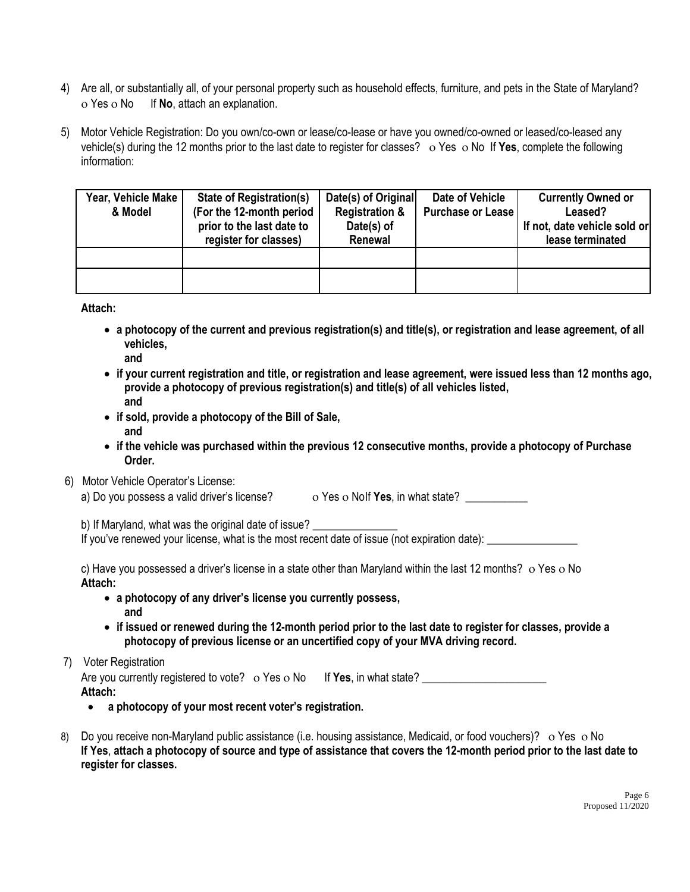- 4) Are all, or substantially all, of your personal property such as household effects, furniture, and pets in the State of Maryland? o Yes o No If **No**, attach an explanation.
- 5) Motor Vehicle Registration: Do you own/co-own or lease/co-lease or have you owned/co-owned or leased/co-leased any vehicle(s) during the 12 months prior to the last date to register for classes?  $\circ$  Yes  $\circ$  No If Yes, complete the following information:

| Year, Vehicle Make<br>& Model | <b>State of Registration(s)</b><br>(For the 12-month period<br>prior to the last date to<br>register for classes) | Date(s) of Original<br><b>Registration &amp;</b><br>Date(s) of<br>Renewal | Date of Vehicle<br><b>Purchase or Lease</b> | <b>Currently Owned or</b><br>Leased?<br>If not, date vehicle sold or<br>lease terminated |
|-------------------------------|-------------------------------------------------------------------------------------------------------------------|---------------------------------------------------------------------------|---------------------------------------------|------------------------------------------------------------------------------------------|
|                               |                                                                                                                   |                                                                           |                                             |                                                                                          |
|                               |                                                                                                                   |                                                                           |                                             |                                                                                          |

**Attach:**

- **a photocopy of the current and previous registration(s) and title(s), or registration and lease agreement, of all vehicles,**
	- **and**
- **if your current registration and title, or registration and lease agreement, were issued less than 12 months ago, provide a photocopy of previous registration(s) and title(s) of all vehicles listed, and**
- **if sold, provide a photocopy of the Bill of Sale, and**
- **if the vehicle was purchased within the previous 12 consecutive months, provide a photocopy of Purchase Order.**
- 6) Motor Vehicle Operator's License:

a) Do you possess a valid driver's license?  $\overline{O}$  Yes  $\overline{O}$  Nolf Yes, in what state?

b) If Maryland, what was the original date of issue?

If you've renewed your license, what is the most recent date of issue (not expiration date):

c) Have you possessed a driver's license in a state other than Maryland within the last 12 months?  $\circ$  Yes  $\circ$  No **Attach:**

- **a photocopy of any driver's license you currently possess, and**
- **if issued or renewed during the 12-month period prior to the last date to register for classes, provide a photocopy of previous license or an uncertified copy of your MVA driving record.**

## 7) Voter Registration

Are you currently registered to vote? o Yes o No If Yes, in what state? **Attach:**

- **a photocopy of your most recent voter's registration.**
- 8) Do you receive non-Maryland public assistance (i.e. housing assistance, Medicaid, or food vouchers)? o Yes o No **If Yes**, **attach a photocopy of source and type of assistance that covers the 12-month period prior to the last date to register for classes.**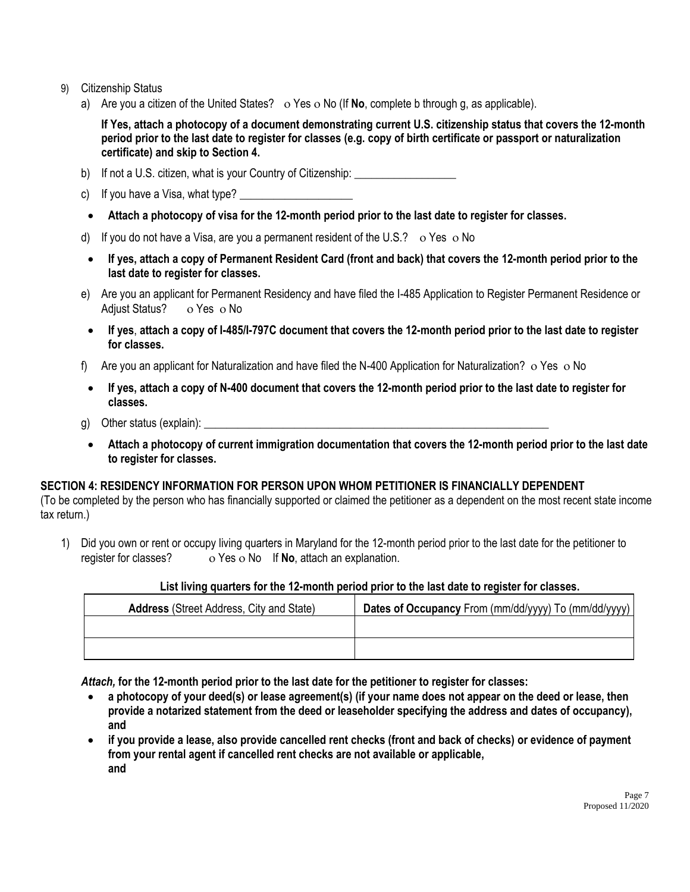- 9) Citizenship Status
	- a) Are you a citizen of the United States?  $\circ$  Yes  $\circ$  No (If **No**, complete b through g, as applicable).

**If Yes, attach a photocopy of a document demonstrating current U.S. citizenship status that covers the 12-month period prior to the last date to register for classes (e.g. copy of birth certificate or passport or naturalization certificate) and skip to Section 4.** 

- b) If not a U.S. citizen, what is your Country of Citizenship: \_\_\_\_\_\_\_\_\_\_\_\_\_\_\_\_\_
- c) If you have a Visa, what type?
- **Attach a photocopy of visa for the 12-month period prior to the last date to register for classes.**
- d) If you do not have a Visa, are you a permanent resident of the U.S.?  $\circ$  Yes  $\circ$  No
- **If yes, attach a copy of Permanent Resident Card (front and back) that covers the 12-month period prior to the last date to register for classes.**
- e) Are you an applicant for Permanent Residency and have filed the I-485 Application to Register Permanent Residence or Adjust Status? o Yes o No
- **If yes**, **attach a copy of I-485/I-797C document that covers the 12-month period prior to the last date to register for classes.**
- f) Are you an applicant for Naturalization and have filed the N-400 Application for Naturalization? o Yes o No
- **If yes, attach a copy of N-400 document that covers the 12-month period prior to the last date to register for classes.**
- g) Other status (explain):  $\Box$
- **Attach a photocopy of current immigration documentation that covers the 12-month period prior to the last date to register for classes.**

## **SECTION 4: RESIDENCY INFORMATION FOR PERSON UPON WHOM PETITIONER IS FINANCIALLY DEPENDENT**

(To be completed by the person who has financially supported or claimed the petitioner as a dependent on the most recent state income tax return.)

1) Did you own or rent or occupy living quarters in Maryland for the 12-month period prior to the last date for the petitioner to register for classes? o Yes o No If No, attach an explanation.

#### **List living quarters for the 12-month period prior to the last date to register for classes.**

| <b>Address</b> (Street Address, City and State) | Dates of Occupancy From (mm/dd/yyyy) To (mm/dd/yyyy) |
|-------------------------------------------------|------------------------------------------------------|
|                                                 |                                                      |
|                                                 |                                                      |

*Attach,* **for the 12-month period prior to the last date for the petitioner to register for classes:**

- **a photocopy of your deed(s) or lease agreement(s) (if your name does not appear on the deed or lease, then provide a notarized statement from the deed or leaseholder specifying the address and dates of occupancy), and**
- **if you provide a lease, also provide cancelled rent checks (front and back of checks) or evidence of payment from your rental agent if cancelled rent checks are not available or applicable, and**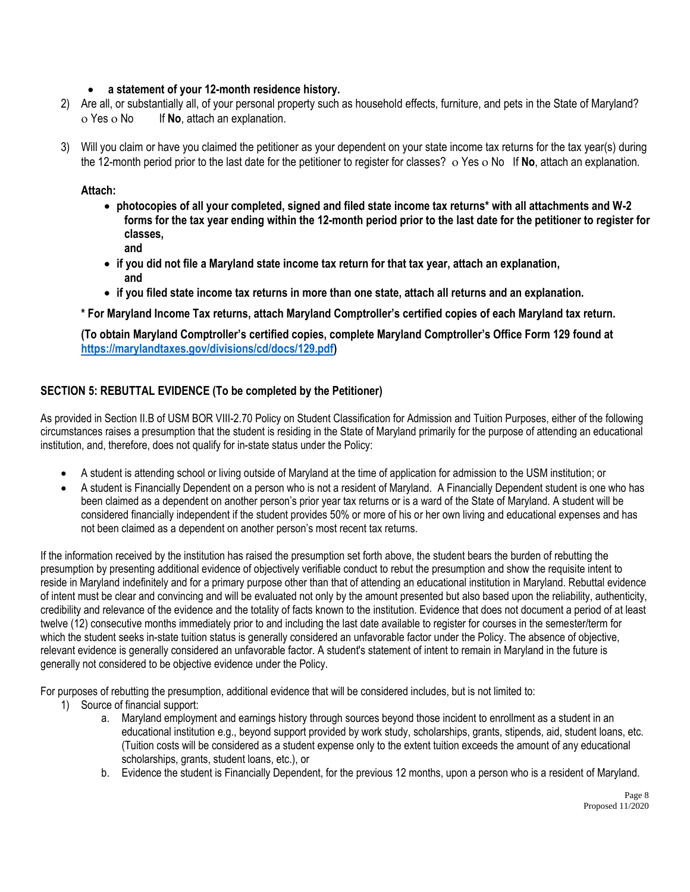#### **a statement of your 12-month residence history.**

- 2) Are all, or substantially all, of your personal property such as household effects, furniture, and pets in the State of Maryland? o Yes o No If **No**, attach an explanation.
- 3) Will you claim or have you claimed the petitioner as your dependent on your state income tax returns for the tax year(s) during the 12-month period prior to the last date for the petitioner to register for classes? o Yes o No If **No**, attach an explanation.

#### **Attach:**

- **photocopies of all your completed, signed and filed state income tax returns\* with all attachments and W-2 forms for the tax year ending within the 12-month period prior to the last date for the petitioner to register for classes, and**
- **if you did not file a Maryland state income tax return for that tax year, attach an explanation, and**
- **if you filed state income tax returns in more than one state, attach all returns and an explanation.**

**\* For Maryland Income Tax returns, attach Maryland Comptroller's certified copies of each Maryland tax return.** 

**(To obtain Maryland Comptroller's certified copies, complete Maryland Comptroller's Office Form 129 found at [https://marylandtaxes.gov/divisions/cd/docs/129.pdf\)](https://marylandtaxes.gov/divisions/cd/docs/129.pdf)**

## **SECTION 5: REBUTTAL EVIDENCE (To be completed by the Petitioner)**

As provided in Section II.B of USM BOR VIII-2.70 Policy on Student Classification for Admission and Tuition Purposes, either of the following circumstances raises a presumption that the student is residing in the State of Maryland primarily for the purpose of attending an educational institution, and, therefore, does not qualify for in-state status under the Policy:

- A student is attending school or living outside of Maryland at the time of application for admission to the USM institution; or
- A student is Financially Dependent on a person who is not a resident of Maryland. A Financially Dependent student is one who has been claimed as a dependent on another person's prior year tax returns or is a ward of the State of Maryland. A student will be considered financially independent if the student provides 50% or more of his or her own living and educational expenses and has not been claimed as a dependent on another person's most recent tax returns.

If the information received by the institution has raised the presumption set forth above, the student bears the burden of rebutting the presumption by presenting additional evidence of objectively verifiable conduct to rebut the presumption and show the requisite intent to reside in Maryland indefinitely and for a primary purpose other than that of attending an educational institution in Maryland. Rebuttal evidence of intent must be clear and convincing and will be evaluated not only by the amount presented but also based upon the reliability, authenticity, credibility and relevance of the evidence and the totality of facts known to the institution. Evidence that does not document a period of at least twelve (12) consecutive months immediately prior to and including the last date available to register for courses in the semester/term for which the student seeks in-state tuition status is generally considered an unfavorable factor under the Policy. The absence of objective, relevant evidence is generally considered an unfavorable factor. A student's statement of intent to remain in Maryland in the future is generally not considered to be objective evidence under the Policy.

For purposes of rebutting the presumption, additional evidence that will be considered includes, but is not limited to:

- 1) Source of financial support:
	- a. Maryland employment and earnings history through sources beyond those incident to enrollment as a student in an educational institution e.g., beyond support provided by work study, scholarships, grants, stipends, aid, student loans, etc. (Tuition costs will be considered as a student expense only to the extent tuition exceeds the amount of any educational scholarships, grants, student loans, etc.), or
	- b. Evidence the student is Financially Dependent, for the previous 12 months, upon a person who is a resident of Maryland.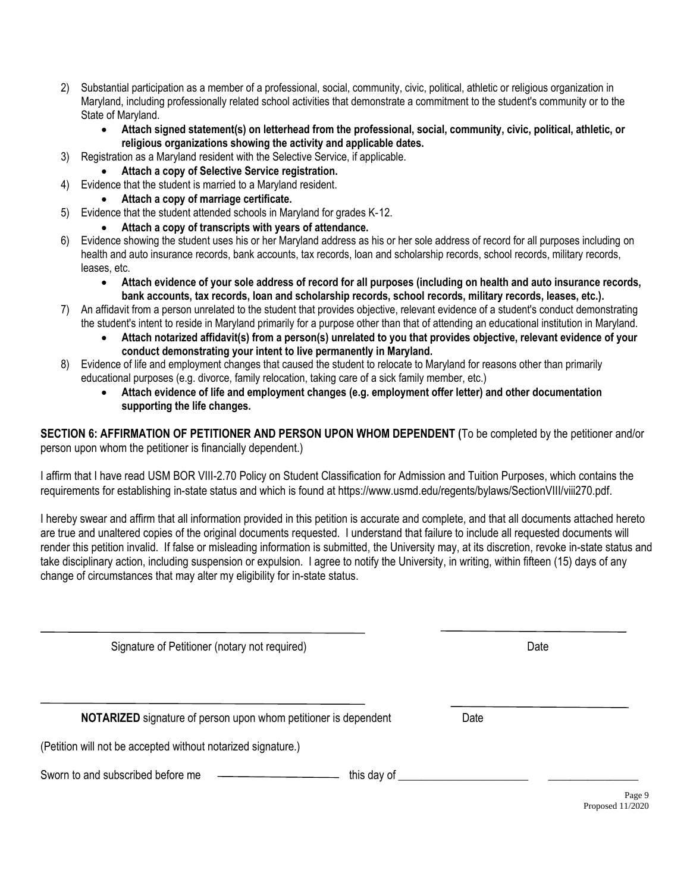- 2) Substantial participation as a member of a professional, social, community, civic, political, athletic or religious organization in Maryland, including professionally related school activities that demonstrate a commitment to the student's community or to the State of Maryland.
	- **Attach signed statement(s) on letterhead from the professional, social, community, civic, political, athletic, or religious organizations showing the activity and applicable dates.**
- 3) Registration as a Maryland resident with the Selective Service, if applicable.
	- **Attach a copy of Selective Service registration.**
- 4) Evidence that the student is married to a Maryland resident.
	- **Attach a copy of marriage certificate.**
- 5) Evidence that the student attended schools in Maryland for grades K‐12.
	- **Attach a copy of transcripts with years of attendance.**
- 6) Evidence showing the student uses his or her Maryland address as his or her sole address of record for all purposes including on health and auto insurance records, bank accounts, tax records, loan and scholarship records, school records, military records, leases, etc.
	- **Attach evidence of your sole address of record for all purposes (including on health and auto insurance records, bank accounts, tax records, loan and scholarship records, school records, military records, leases, etc.).**
- 7) An affidavit from a person unrelated to the student that provides objective, relevant evidence of a student's conduct demonstrating the student's intent to reside in Maryland primarily for a purpose other than that of attending an educational institution in Maryland.
	- **Attach notarized affidavit(s) from a person(s) unrelated to you that provides objective, relevant evidence of your conduct demonstrating your intent to live permanently in Maryland.**
- 8) Evidence of life and employment changes that caused the student to relocate to Maryland for reasons other than primarily educational purposes (e.g. divorce, family relocation, taking care of a sick family member, etc.)
	- **Attach evidence of life and employment changes (e.g. employment offer letter) and other documentation supporting the life changes.**

**SECTION 6: AFFIRMATION OF PETITIONER AND PERSON UPON WHOM DEPENDENT (**To be completed by the petitioner and/or person upon whom the petitioner is financially dependent.)

I affirm that I have read USM BOR VIII-2.70 Policy on Student Classification for Admission and Tuition Purposes, which contains the requirements for establishing in-state status and which is found at https://www.usmd.edu/regents/bylaws/SectionVIII/viii270.pdf.

I hereby swear and affirm that all information provided in this petition is accurate and complete, and that all documents attached hereto are true and unaltered copies of the original documents requested. I understand that failure to include all requested documents will render this petition invalid. If false or misleading information is submitted, the University may, at its discretion, revoke in-state status and take disciplinary action, including suspension or expulsion. I agree to notify the University, in writing, within fifteen (15) days of any change of circumstances that may alter my eligibility for in-state status.

| Signature of Petitioner (notary not required)                          |      | Date |
|------------------------------------------------------------------------|------|------|
| <b>NOTARIZED</b> signature of person upon whom petitioner is dependent | Date |      |
| (Petition will not be accepted without notarized signature.)           |      |      |
| Sworn to and subscribed before me<br>this day of                       |      |      |